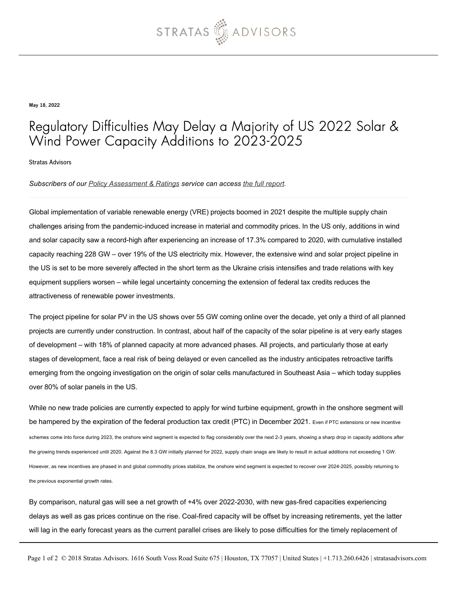

May 18, 2022

## Regulatory Difficulties May Delay a Majority of US 2022 Solar & Wind Power Capacity Additions to 2023-2025

Stratas Advisors

## *Subscribers of our [Policy Assessment & Ratings](https://stratasadvisors.com/Services/Policy-Assessment-and-Ratings) service can access [the full report.](https://stratasadvisors.com/Member/Assessment/PAR/05192022-US-Power-Capacity-Short-Term)*

Global implementation of variable renewable energy (VRE) projects boomed in 2021 despite the multiple supply chain challenges arising from the pandemic-induced increase in material and commodity prices. In the US only, additions in wind and solar capacity saw a record-high after experiencing an increase of 17.3% compared to 2020, with cumulative installed capacity reaching 228 GW – over 19% of the US electricity mix. However, the extensive wind and solar project pipeline in the US is set to be more severely affected in the short term as the Ukraine crisis intensifies and trade relations with key equipment suppliers worsen – while legal uncertainty concerning the extension of federal tax credits reduces the attractiveness of renewable power investments.

The project pipeline for solar PV in the US shows over 55 GW coming online over the decade, yet only a third of all planned projects are currently under construction. In contrast, about half of the capacity of the solar pipeline is at very early stages of development – with 18% of planned capacity at more advanced phases. All projects, and particularly those at early stages of development, face a real risk of being delayed or even cancelled as the industry anticipates retroactive tariffs emerging from the ongoing investigation on the origin of solar cells manufactured in Southeast Asia – which today supplies over 80% of solar panels in the US.

While no new trade policies are currently expected to apply for wind turbine equipment, growth in the onshore segment will be hampered by the expiration of the federal production tax credit (PTC) in December 2021. Even if PTC extensions or new incentive schemes come into force during 2023, the onshore wind segment is expected to flag considerably over the next 2-3 years, showing a sharp drop in capacity additions after the growing trends experienced until 2020. Against the 8.3 GW initially planned for 2022, supply chain snags are likely to result in actual additions not exceeding 1 GW. However, as new incentives are phased in and global commodity prices stabilize, the onshore wind segment is expected to recover over 2024-2025, possibly returning to the previous exponential growth rates.

By comparison, natural gas will see a net growth of +4% over 2022-2030, with new gas-fired capacities experiencing delays as well as gas prices continue on the rise. Coal-fired capacity will be offset by increasing retirements, yet the latter will lag in the early forecast years as the current parallel crises are likely to pose difficulties for the timely replacement of